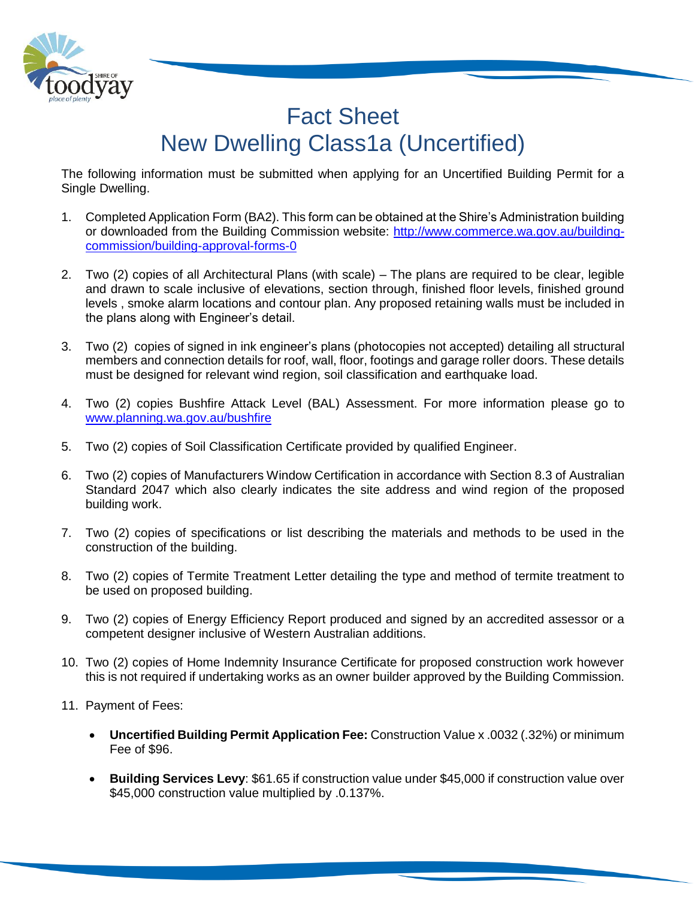

## Fact Sheet New Dwelling Class1a (Uncertified)

The following information must be submitted when applying for an Uncertified Building Permit for a Single Dwelling.

- 1. Completed Application Form (BA2). This form can be obtained at the Shire's Administration building or downloaded from the Building Commission website: [http://www.commerce.wa.gov.au/building](http://www.commerce.wa.gov.au/building-commission/building-approval-forms-0)[commission/building-approval-forms-0](http://www.commerce.wa.gov.au/building-commission/building-approval-forms-0)
- 2. Two (2) copies of all Architectural Plans (with scale) The plans are required to be clear, legible and drawn to scale inclusive of elevations, section through, finished floor levels, finished ground levels , smoke alarm locations and contour plan. Any proposed retaining walls must be included in the plans along with Engineer's detail.
- 3. Two (2) copies of signed in ink engineer's plans (photocopies not accepted) detailing all structural members and connection details for roof, wall, floor, footings and garage roller doors. These details must be designed for relevant wind region, soil classification and earthquake load.
- 4. Two (2) copies Bushfire Attack Level (BAL) Assessment. For more information please go to [www.planning.wa.gov.au/bushfire](http://www.planning.wa.gov.au/bushfire)
- 5. Two (2) copies of Soil Classification Certificate provided by qualified Engineer.
- 6. Two (2) copies of Manufacturers Window Certification in accordance with Section 8.3 of Australian Standard 2047 which also clearly indicates the site address and wind region of the proposed building work.
- 7. Two (2) copies of specifications or list describing the materials and methods to be used in the construction of the building.
- 8. Two (2) copies of Termite Treatment Letter detailing the type and method of termite treatment to be used on proposed building.
- 9. Two (2) copies of Energy Efficiency Report produced and signed by an accredited assessor or a competent designer inclusive of Western Australian additions.
- 10. Two (2) copies of Home Indemnity Insurance Certificate for proposed construction work however this is not required if undertaking works as an owner builder approved by the Building Commission.
- 11. Payment of Fees:
	- **Uncertified Building Permit Application Fee:** Construction Value x .0032 (.32%) or minimum Fee of \$96.
	- **Building Services Levy**: \$61.65 if construction value under \$45,000 if construction value over \$45,000 construction value multiplied by .0.137%.